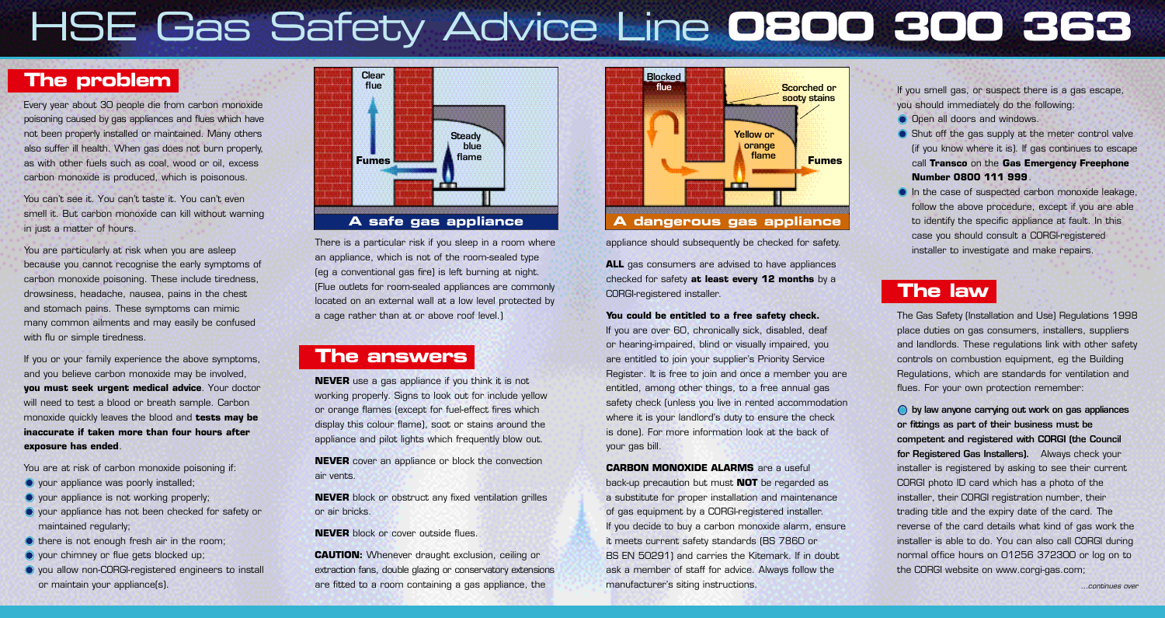# HSE Gas Safety Advice Line **0800 300 363**

#### **The problem**

 poisoning caused by gas appliances and flues which have also suffer ill health. When gas does not burn properly, Every year about 30 people die from carbon monoxide not been properly installed or maintained. Many others as with other fuels such as coal, wood or oil, excess carbon monoxide is produced, which is poisonous.

You can't see it. You can't taste it. You can't even smell it. But carbon monoxide can kill without warning in just a matter of hours.

You are particularly at risk when you are asleep because you cannot recognise the early symptoms of carbon monoxide poisoning. These include tiredness, drowsiness, headache, nausea, pains in the chest and stomach pains. These symptoms can mimic many common ailments and may easily be confused with flu or simple tiredness.

If you or your family experience the above symptoms, and you believe carbon monoxide may be involved, **you must seek urgent medical advice**. Your doctor will need to test a blood or breath sample. Carbon monoxide quickly leaves the blood and **tests may be inaccurate if taken more than four hours after exposure has ended**.

You are at risk of carbon monoxide poisoning if:

- **O** your appliance was poorly installed;
- **O** your appliance is not working properly;
- your appliance has not been checked for safety or maintained regularly;
- there is not enough fresh air in the room;
- **O** your chimney or flue gets blocked up;
- you allow non-CORGI-registered engineers to install or maintain your appliance(s).



 (Flue outlets for room-sealed appliances are commonly There is a particular risk if you sleep in a room where an appliance, which is not of the room-sealed type (eg a conventional gas fire) is left burning at night. located on an external wall at a low level protected by a cage rather than at or above roof level.)

#### **The answers**

**NEVER** use a gas appliance if you think it is not working properly. Signs to look out for include yellow or orange flames (except for fuel-effect fires which display this colour flame), soot or stains around the appliance and pilot lights which frequently blow out.

**NEVER** cover an appliance or block the convection air vents.

**NEVER** block or obstruct any fixed ventilation grilles or air bricks.

**NEVER** block or cover outside flues.

extraction fans, double glazing or conservatory extensions **CAUTION:** Whenever draught exclusion, ceiling or are fitted to a room containing a gas appliance, the



appliance should subsequently be checked for safety.

**ALL** gas consumers are advised to have appliances checked for safety **at least every 12 months** by a CORGI-registered installer.

#### **You could be entitled to a free safety check.**

If you are over 60, chronically sick, disabled, deaf or hearing-impaired, blind or visually impaired, you are entitled to join your supplier's Priority Service Register. It is free to join and once a member you are entitled, among other things, to a free annual gas safety check (unless you live in rented accommodation where it is your landlord's duty to ensure the check is done). For more information look at the back of your gas bill.

**CARBON MONOXIDE ALARMS** are a useful back-up precaution but must **NOT** be regarded as a substitute for proper installation and maintenance of gas equipment by a CORGI-registered installer. If you decide to buy a carbon monoxide alarm, ensure it meets current safety standards (BS 7860 or BS EN 50291) and carries the Kitemark. If in doubt ask a member of staff for advice. Always follow the manufacturer's siting instructions.

If you smell gas, or suspect there is a gas escape, you should immediately do the following:

- O Open all doors and windows.
- Shut off the gas supply at the meter control valve (if you know where it is). If gas continues to escape call **Transco** on the **Gas Emergency Freephone Number 0800 111 999**.
- In the case of suspected carbon monoxide leakage, follow the above procedure, except if you are able to identify the specific appliance at fault. In this case you should consult a CORGI-registered installer to investigate and make repairs.

### **The law**

 The Gas Safety (Installation and Use) Regulations 1998 place duties on gas consumers, installers, suppliers and landlords. These regulations link with other safety controls on combustion equipment, eg the Building Regulations, which are standards for ventilation and flues. For your own protection remember:

 $\bigcirc$  by law anyone carrying out work on gas appliances or fittings as part of their business must be competent and registered with CORGI (the Council for Registered Gas Installers). Always check your installer is registered by asking to see their current CORGI photo ID card which has a photo of the installer, their CORGI registration number, their trading title and the expiry date of the card. The reverse of the card details what kind of gas work the installer is able to do. You can also call CORGI during normal office hours on 01256 372300 or log on to the CORGI website on<www.corgi-gas.com>;